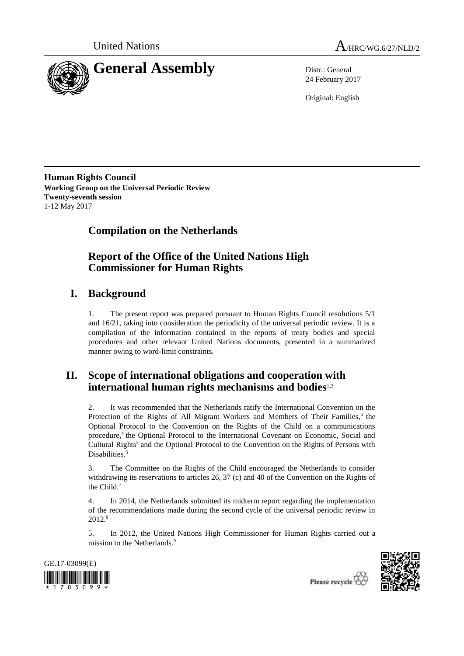



24 February 2017

Original: English

**Human Rights Council Working Group on the Universal Periodic Review Twenty-seventh session** 1-12 May 2017

# **Compilation on the Netherlands**

# **Report of the Office of the United Nations High Commissioner for Human Rights**

# **I. Background**

1. The present report was prepared pursuant to Human Rights Council resolutions 5/1 and 16/21, taking into consideration the periodicity of the universal periodic review. It is a compilation of the information contained in the reports of treaty bodies and special procedures and other relevant United Nations documents, presented in a summarized manner owing to word-limit constraints.

## **II. Scope of international obligations and cooperation with international human rights mechanisms and bodies**1,<sup>2</sup>

2. It was recommended that the Netherlands ratify the International Convention on the Protection of the Rights of All Migrant Workers and Members of Their Families,<sup>3</sup> the Optional Protocol to the Convention on the Rights of the Child on a communications procedure,<sup>4</sup> the Optional Protocol to the International Covenant on Economic, Social and Cultural Rights<sup>5</sup> and the Optional Protocol to the Convention on the Rights of Persons with Disabilities.<sup>6</sup>

3. The Committee on the Rights of the Child encouraged the Netherlands to consider withdrawing its reservations to articles 26, 37 (c) and 40 of the Convention on the Rights of the Child. $<sup>7</sup>$ </sup>

4. In 2014, the Netherlands submitted its midterm report regarding the implementation of the recommendations made during the second cycle of the universal periodic review in 2012.<sup>8</sup>

5. In 2012, the United Nations High Commissioner for Human Rights carried out a mission to the Netherlands.<sup>9</sup>





Please recycle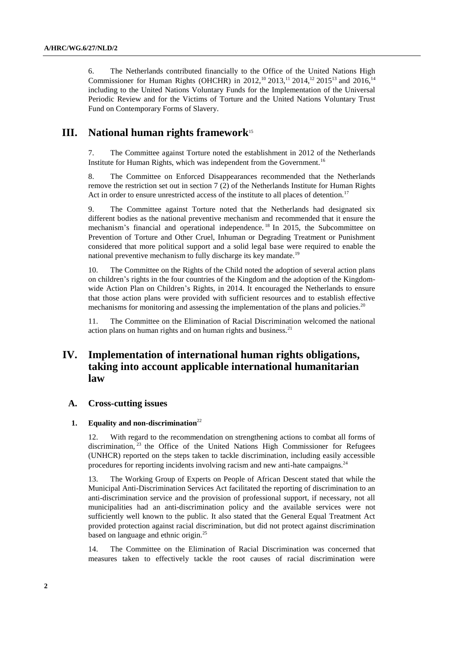6. The Netherlands contributed financially to the Office of the United Nations High Commissioner for Human Rights (OHCHR) in 2012,<sup>10</sup> 2013,<sup>11</sup> 2014,<sup>12</sup> 2015<sup>13</sup> and 2016,<sup>14</sup> including to the United Nations Voluntary Funds for the Implementation of the Universal Periodic Review and for the Victims of Torture and the United Nations Voluntary Trust Fund on Contemporary Forms of Slavery.

## **III. National human rights framework**<sup>15</sup>

The Committee against Torture noted the establishment in 2012 of the Netherlands Institute for Human Rights, which was independent from the Government.<sup>16</sup>

8. The Committee on Enforced Disappearances recommended that the Netherlands remove the restriction set out in section 7 (2) of the Netherlands Institute for Human Rights Act in order to ensure unrestricted access of the institute to all places of detention.<sup>17</sup>

9. The Committee against Torture noted that the Netherlands had designated six different bodies as the national preventive mechanism and recommended that it ensure the mechanism's financial and operational independence. <sup>18</sup> In 2015, the Subcommittee on Prevention of Torture and Other Cruel, Inhuman or Degrading Treatment or Punishment considered that more political support and a solid legal base were required to enable the national preventive mechanism to fully discharge its key mandate.<sup>19</sup>

10. The Committee on the Rights of the Child noted the adoption of several action plans on children's rights in the four countries of the Kingdom and the adoption of the Kingdomwide Action Plan on Children's Rights, in 2014. It encouraged the Netherlands to ensure that those action plans were provided with sufficient resources and to establish effective mechanisms for monitoring and assessing the implementation of the plans and policies.<sup>20</sup>

11. The Committee on the Elimination of Racial Discrimination welcomed the national action plans on human rights and on human rights and business. $21$ 

## **IV. Implementation of international human rights obligations, taking into account applicable international humanitarian law**

#### **A. Cross-cutting issues**

#### **1. Equality and non-discrimination**<sup>22</sup>

12. With regard to the recommendation on strengthening actions to combat all forms of discrimination,<sup>23</sup> the Office of the United Nations High Commissioner for Refugees (UNHCR) reported on the steps taken to tackle discrimination, including easily accessible procedures for reporting incidents involving racism and new anti-hate campaigns.<sup>24</sup>

13. The Working Group of Experts on People of African Descent stated that while the Municipal Anti-Discrimination Services Act facilitated the reporting of discrimination to an anti-discrimination service and the provision of professional support, if necessary, not all municipalities had an anti-discrimination policy and the available services were not sufficiently well known to the public. It also stated that the General Equal Treatment Act provided protection against racial discrimination, but did not protect against discrimination based on language and ethnic origin.<sup>25</sup>

14. The Committee on the Elimination of Racial Discrimination was concerned that measures taken to effectively tackle the root causes of racial discrimination were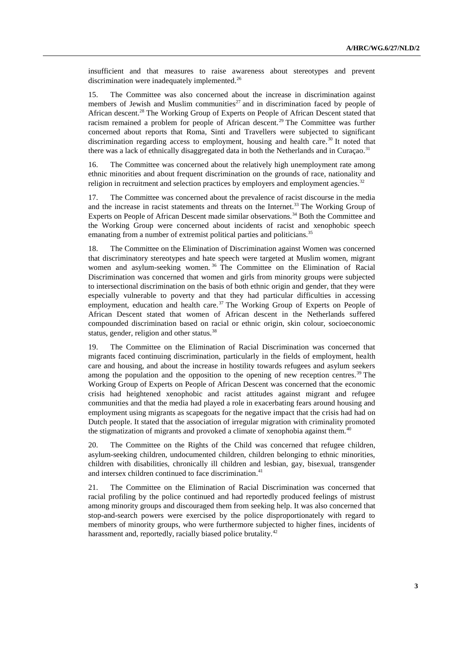insufficient and that measures to raise awareness about stereotypes and prevent discrimination were inadequately implemented.<sup>26</sup>

15. The Committee was also concerned about the increase in discrimination against members of Jewish and Muslim communities<sup>27</sup> and in discrimination faced by people of African descent.<sup>28</sup> The Working Group of Experts on People of African Descent stated that racism remained a problem for people of African descent.<sup>29</sup> The Committee was further concerned about reports that Roma, Sinti and Travellers were subjected to significant discrimination regarding access to employment, housing and health care.<sup>30</sup> It noted that there was a lack of ethnically disaggregated data in both the Netherlands and in Curacao.<sup>31</sup>

16. The Committee was concerned about the relatively high unemployment rate among ethnic minorities and about frequent discrimination on the grounds of race, nationality and religion in recruitment and selection practices by employers and employment agencies. $32$ 

17. The Committee was concerned about the prevalence of racist discourse in the media and the increase in racist statements and threats on the Internet.<sup>33</sup> The Working Group of Experts on People of African Descent made similar observations.<sup>34</sup> Both the Committee and the Working Group were concerned about incidents of racist and xenophobic speech emanating from a number of extremist political parties and politicians.<sup>35</sup>

18. The Committee on the Elimination of Discrimination against Women was concerned that discriminatory stereotypes and hate speech were targeted at Muslim women, migrant women and asylum-seeking women.<sup>36</sup> The Committee on the Elimination of Racial Discrimination was concerned that women and girls from minority groups were subjected to intersectional discrimination on the basis of both ethnic origin and gender, that they were especially vulnerable to poverty and that they had particular difficulties in accessing employment, education and health care.<sup>37</sup> The Working Group of Experts on People of African Descent stated that women of African descent in the Netherlands suffered compounded discrimination based on racial or ethnic origin, skin colour, socioeconomic status, gender, religion and other status.<sup>38</sup>

19. The Committee on the Elimination of Racial Discrimination was concerned that migrants faced continuing discrimination, particularly in the fields of employment, health care and housing, and about the increase in hostility towards refugees and asylum seekers among the population and the opposition to the opening of new reception centres.<sup>39</sup> The Working Group of Experts on People of African Descent was concerned that the economic crisis had heightened xenophobic and racist attitudes against migrant and refugee communities and that the media had played a role in exacerbating fears around housing and employment using migrants as scapegoats for the negative impact that the crisis had had on Dutch people. It stated that the association of irregular migration with criminality promoted the stigmatization of migrants and provoked a climate of xenophobia against them.<sup>40</sup>

20. The Committee on the Rights of the Child was concerned that refugee children, asylum-seeking children, undocumented children, children belonging to ethnic minorities, children with disabilities, chronically ill children and lesbian, gay, bisexual, transgender and intersex children continued to face discrimination. 41

21. The Committee on the Elimination of Racial Discrimination was concerned that racial profiling by the police continued and had reportedly produced feelings of mistrust among minority groups and discouraged them from seeking help. It was also concerned that stop-and-search powers were exercised by the police disproportionately with regard to members of minority groups, who were furthermore subjected to higher fines, incidents of harassment and, reportedly, racially biased police brutality.<sup>42</sup>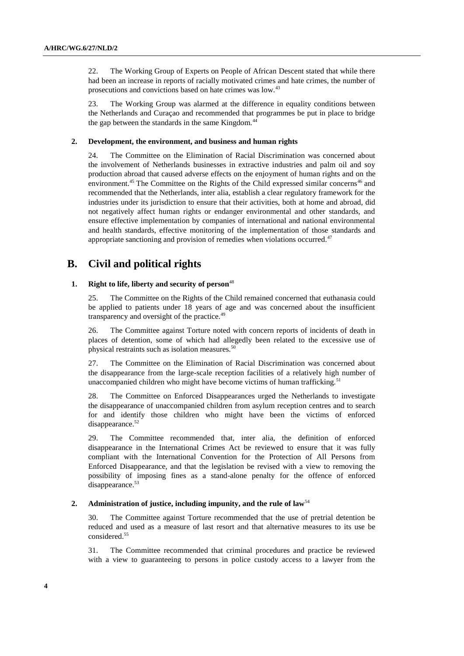22. The Working Group of Experts on People of African Descent stated that while there had been an increase in reports of racially motivated crimes and hate crimes, the number of prosecutions and convictions based on hate crimes was low.<sup>43</sup>

23. The Working Group was alarmed at the difference in equality conditions between the Netherlands and Curaçao and recommended that programmes be put in place to bridge the gap between the standards in the same Kingdom.<sup>44</sup>

#### **2. Development, the environment, and business and human rights**

24. The Committee on the Elimination of Racial Discrimination was concerned about the involvement of Netherlands businesses in extractive industries and palm oil and soy production abroad that caused adverse effects on the enjoyment of human rights and on the environment.<sup>45</sup> The Committee on the Rights of the Child expressed similar concerns<sup>46</sup> and recommended that the Netherlands, inter alia, establish a clear regulatory framework for the industries under its jurisdiction to ensure that their activities, both at home and abroad, did not negatively affect human rights or endanger environmental and other standards, and ensure effective implementation by companies of international and national environmental and health standards, effective monitoring of the implementation of those standards and appropriate sanctioning and provision of remedies when violations occurred.<sup>47</sup>

## **B. Civil and political rights**

#### 1. **Right to life, liberty and security of person**<sup>48</sup>

25. The Committee on the Rights of the Child remained concerned that euthanasia could be applied to patients under 18 years of age and was concerned about the insufficient transparency and oversight of the practice.<sup>49</sup>

26. The Committee against Torture noted with concern reports of incidents of death in places of detention, some of which had allegedly been related to the excessive use of physical restraints such as isolation measures.<sup>50</sup>

27. The Committee on the Elimination of Racial Discrimination was concerned about the disappearance from the large-scale reception facilities of a relatively high number of unaccompanied children who might have become victims of human trafficking.<sup>51</sup>

28. The Committee on Enforced Disappearances urged the Netherlands to investigate the disappearance of unaccompanied children from asylum reception centres and to search for and identify those children who might have been the victims of enforced disappearance.<sup>52</sup>

29. The Committee recommended that, inter alia, the definition of enforced disappearance in the International Crimes Act be reviewed to ensure that it was fully compliant with the International Convention for the Protection of All Persons from Enforced Disappearance, and that the legislation be revised with a view to removing the possibility of imposing fines as a stand-alone penalty for the offence of enforced disappearance.<sup>53</sup>

#### **2. Administration of justice, including impunity, and the rule of law**<sup>54</sup>

30. The Committee against Torture recommended that the use of pretrial detention be reduced and used as a measure of last resort and that alternative measures to its use be considered.<sup>55</sup>

31. The Committee recommended that criminal procedures and practice be reviewed with a view to guaranteeing to persons in police custody access to a lawyer from the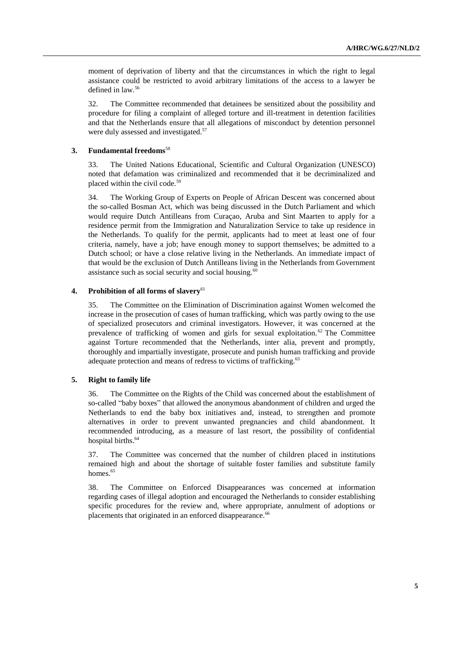moment of deprivation of liberty and that the circumstances in which the right to legal assistance could be restricted to avoid arbitrary limitations of the access to a lawyer be defined in law.<sup>56</sup>

32. The Committee recommended that detainees be sensitized about the possibility and procedure for filing a complaint of alleged torture and ill-treatment in detention facilities and that the Netherlands ensure that all allegations of misconduct by detention personnel were duly assessed and investigated.<sup>57</sup>

#### **3. Fundamental freedoms**<sup>58</sup>

33. The United Nations Educational, Scientific and Cultural Organization (UNESCO) noted that defamation was criminalized and recommended that it be decriminalized and placed within the civil code.<sup>59</sup>

34. The Working Group of Experts on People of African Descent was concerned about the so-called Bosman Act, which was being discussed in the Dutch Parliament and which would require Dutch Antilleans from Curaçao, Aruba and Sint Maarten to apply for a residence permit from the Immigration and Naturalization Service to take up residence in the Netherlands. To qualify for the permit, applicants had to meet at least one of four criteria, namely, have a job; have enough money to support themselves; be admitted to a Dutch school; or have a close relative living in the Netherlands. An immediate impact of that would be the exclusion of Dutch Antilleans living in the Netherlands from Government assistance such as social security and social housing.<sup>60</sup>

#### **4. Prohibition of all forms of slavery**<sup>61</sup>

35. The Committee on the Elimination of Discrimination against Women welcomed the increase in the prosecution of cases of human trafficking, which was partly owing to the use of specialized prosecutors and criminal investigators. However, it was concerned at the prevalence of trafficking of women and girls for sexual exploitation.<sup>62</sup> The Committee against Torture recommended that the Netherlands, inter alia, prevent and promptly, thoroughly and impartially investigate, prosecute and punish human trafficking and provide adequate protection and means of redress to victims of trafficking.<sup>63</sup>

#### **5. Right to family life**

36. The Committee on the Rights of the Child was concerned about the establishment of so-called "baby boxes" that allowed the anonymous abandonment of children and urged the Netherlands to end the baby box initiatives and, instead, to strengthen and promote alternatives in order to prevent unwanted pregnancies and child abandonment. It recommended introducing, as a measure of last resort, the possibility of confidential hospital births.<sup>64</sup>

37. The Committee was concerned that the number of children placed in institutions remained high and about the shortage of suitable foster families and substitute family homes.<sup>65</sup>

38. The Committee on Enforced Disappearances was concerned at information regarding cases of illegal adoption and encouraged the Netherlands to consider establishing specific procedures for the review and, where appropriate, annulment of adoptions or placements that originated in an enforced disappearance.<sup>66</sup>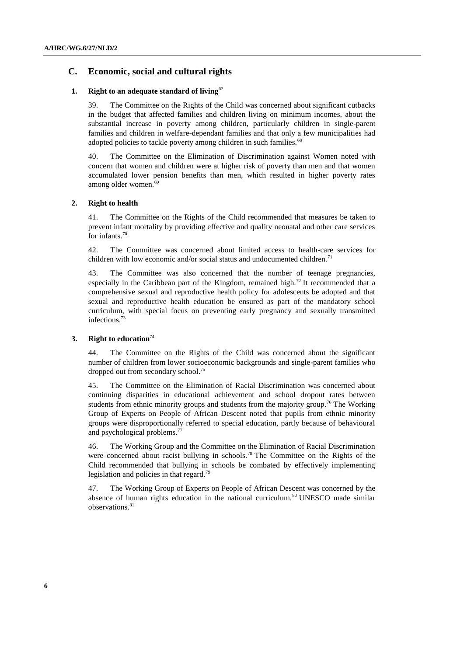### **C. Economic, social and cultural rights**

#### **1. Right to an adequate standard of living**<sup>67</sup>

39. The Committee on the Rights of the Child was concerned about significant cutbacks in the budget that affected families and children living on minimum incomes, about the substantial increase in poverty among children, particularly children in single-parent families and children in welfare-dependant families and that only a few municipalities had adopted policies to tackle poverty among children in such families.<sup>68</sup>

40. The Committee on the Elimination of Discrimination against Women noted with concern that women and children were at higher risk of poverty than men and that women accumulated lower pension benefits than men, which resulted in higher poverty rates among older women.<sup>69</sup>

#### **2. Right to health**

41. The Committee on the Rights of the Child recommended that measures be taken to prevent infant mortality by providing effective and quality neonatal and other care services for infants.<sup>70</sup>

42. The Committee was concerned about limited access to health-care services for children with low economic and/or social status and undocumented children.<sup>71</sup>

43. The Committee was also concerned that the number of teenage pregnancies, especially in the Caribbean part of the Kingdom, remained high.<sup>72</sup> It recommended that a comprehensive sexual and reproductive health policy for adolescents be adopted and that sexual and reproductive health education be ensured as part of the mandatory school curriculum, with special focus on preventing early pregnancy and sexually transmitted infections.<sup>73</sup>

#### **3. Right to education**<sup>74</sup>

44. The Committee on the Rights of the Child was concerned about the significant number of children from lower socioeconomic backgrounds and single-parent families who dropped out from secondary school.<sup>75</sup>

45. The Committee on the Elimination of Racial Discrimination was concerned about continuing disparities in educational achievement and school dropout rates between students from ethnic minority groups and students from the majority group.<sup>76</sup> The Working Group of Experts on People of African Descent noted that pupils from ethnic minority groups were disproportionally referred to special education, partly because of behavioural and psychological problems.<sup>77</sup>

46. The Working Group and the Committee on the Elimination of Racial Discrimination were concerned about racist bullying in schools.<sup>78</sup> The Committee on the Rights of the Child recommended that bullying in schools be combated by effectively implementing legislation and policies in that regard.<sup>79</sup>

47. The Working Group of Experts on People of African Descent was concerned by the absence of human rights education in the national curriculum.<sup>80</sup> UNESCO made similar observations.<sup>81</sup>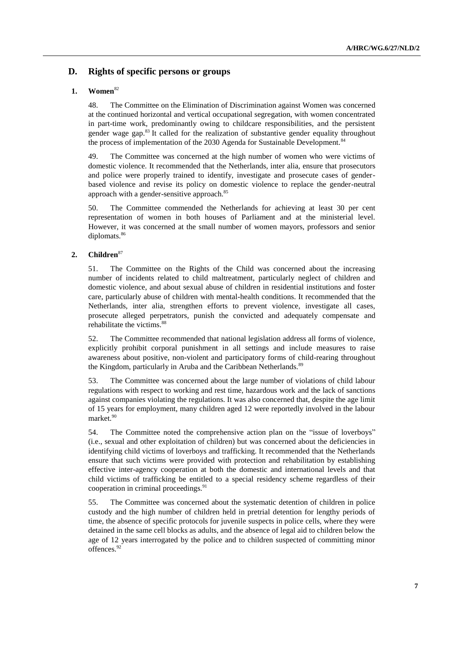### **D. Rights of specific persons or groups**

### **1. Women**<sup>82</sup>

48. The Committee on the Elimination of Discrimination against Women was concerned at the continued horizontal and vertical occupational segregation, with women concentrated in part-time work, predominantly owing to childcare responsibilities, and the persistent gender wage gap.<sup>83</sup> It called for the realization of substantive gender equality throughout the process of implementation of the 2030 Agenda for Sustainable Development.<sup>84</sup>

49. The Committee was concerned at the high number of women who were victims of domestic violence. It recommended that the Netherlands, inter alia, ensure that prosecutors and police were properly trained to identify, investigate and prosecute cases of genderbased violence and revise its policy on domestic violence to replace the gender-neutral approach with a gender-sensitive approach.<sup>85</sup>

50. The Committee commended the Netherlands for achieving at least 30 per cent representation of women in both houses of Parliament and at the ministerial level. However, it was concerned at the small number of women mayors, professors and senior diplomats.<sup>86</sup>

### **2. Children**<sup>87</sup>

51. The Committee on the Rights of the Child was concerned about the increasing number of incidents related to child maltreatment, particularly neglect of children and domestic violence, and about sexual abuse of children in residential institutions and foster care, particularly abuse of children with mental-health conditions. It recommended that the Netherlands, inter alia, strengthen efforts to prevent violence, investigate all cases, prosecute alleged perpetrators, punish the convicted and adequately compensate and rehabilitate the victims.<sup>88</sup>

52. The Committee recommended that national legislation address all forms of violence, explicitly prohibit corporal punishment in all settings and include measures to raise awareness about positive, non-violent and participatory forms of child-rearing throughout the Kingdom, particularly in Aruba and the Caribbean Netherlands.<sup>89</sup>

53. The Committee was concerned about the large number of violations of child labour regulations with respect to working and rest time, hazardous work and the lack of sanctions against companies violating the regulations. It was also concerned that, despite the age limit of 15 years for employment, many children aged 12 were reportedly involved in the labour market.<sup>90</sup>

54. The Committee noted the comprehensive action plan on the "issue of loverboys" (i.e., sexual and other exploitation of children) but was concerned about the deficiencies in identifying child victims of loverboys and trafficking. It recommended that the Netherlands ensure that such victims were provided with protection and rehabilitation by establishing effective inter-agency cooperation at both the domestic and international levels and that child victims of trafficking be entitled to a special residency scheme regardless of their cooperation in criminal proceedings.<sup>91</sup>

55. The Committee was concerned about the systematic detention of children in police custody and the high number of children held in pretrial detention for lengthy periods of time, the absence of specific protocols for juvenile suspects in police cells, where they were detained in the same cell blocks as adults, and the absence of legal aid to children below the age of 12 years interrogated by the police and to children suspected of committing minor offences.<sup>92</sup>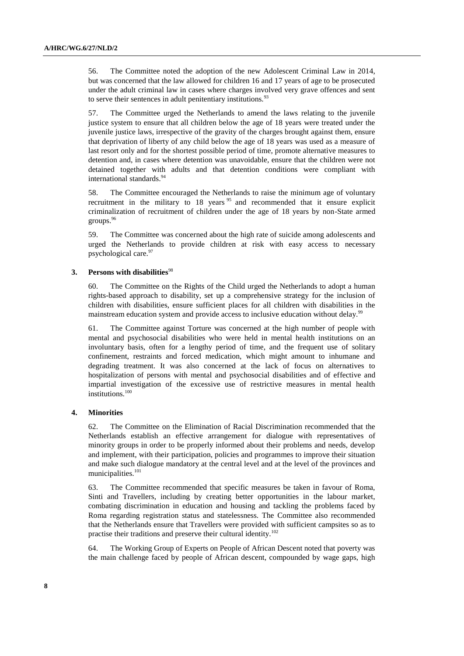56. The Committee noted the adoption of the new Adolescent Criminal Law in 2014, but was concerned that the law allowed for children 16 and 17 years of age to be prosecuted under the adult criminal law in cases where charges involved very grave offences and sent to serve their sentences in adult penitentiary institutions.<sup>93</sup>

57. The Committee urged the Netherlands to amend the laws relating to the juvenile justice system to ensure that all children below the age of 18 years were treated under the juvenile justice laws, irrespective of the gravity of the charges brought against them, ensure that deprivation of liberty of any child below the age of 18 years was used as a measure of last resort only and for the shortest possible period of time, promote alternative measures to detention and, in cases where detention was unavoidable, ensure that the children were not detained together with adults and that detention conditions were compliant with international standards.<sup>94</sup>

58. The Committee encouraged the Netherlands to raise the minimum age of voluntary recruitment in the military to  $18$  years  $95$  and recommended that it ensure explicit criminalization of recruitment of children under the age of 18 years by non-State armed groups.<sup>96</sup>

59. The Committee was concerned about the high rate of suicide among adolescents and urged the Netherlands to provide children at risk with easy access to necessary psychological care.<sup>97</sup>

#### **3. Persons with disabilities**<sup>98</sup>

60. The Committee on the Rights of the Child urged the Netherlands to adopt a human rights-based approach to disability, set up a comprehensive strategy for the inclusion of children with disabilities, ensure sufficient places for all children with disabilities in the mainstream education system and provide access to inclusive education without delay.<sup>99</sup>

61. The Committee against Torture was concerned at the high number of people with mental and psychosocial disabilities who were held in mental health institutions on an involuntary basis, often for a lengthy period of time, and the frequent use of solitary confinement, restraints and forced medication, which might amount to inhumane and degrading treatment. It was also concerned at the lack of focus on alternatives to hospitalization of persons with mental and psychosocial disabilities and of effective and impartial investigation of the excessive use of restrictive measures in mental health institutions.<sup>100</sup>

#### **4. Minorities**

62. The Committee on the Elimination of Racial Discrimination recommended that the Netherlands establish an effective arrangement for dialogue with representatives of minority groups in order to be properly informed about their problems and needs, develop and implement, with their participation, policies and programmes to improve their situation and make such dialogue mandatory at the central level and at the level of the provinces and municipalities.<sup>101</sup>

63. The Committee recommended that specific measures be taken in favour of Roma, Sinti and Travellers, including by creating better opportunities in the labour market, combating discrimination in education and housing and tackling the problems faced by Roma regarding registration status and statelessness. The Committee also recommended that the Netherlands ensure that Travellers were provided with sufficient campsites so as to practise their traditions and preserve their cultural identity.<sup>102</sup>

64. The Working Group of Experts on People of African Descent noted that poverty was the main challenge faced by people of African descent, compounded by wage gaps, high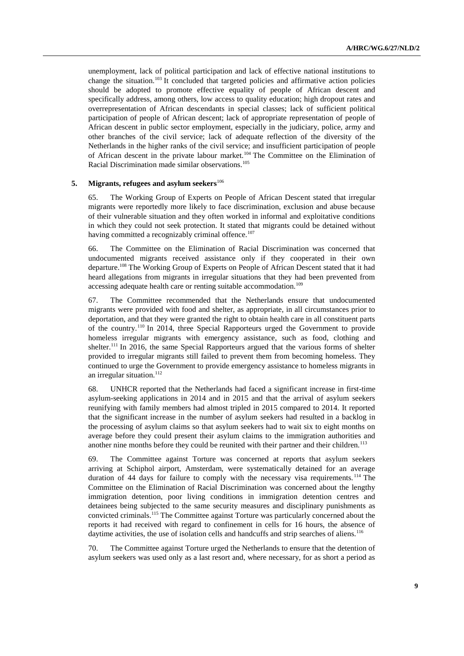unemployment, lack of political participation and lack of effective national institutions to change the situation.<sup>103</sup> It concluded that targeted policies and affirmative action policies should be adopted to promote effective equality of people of African descent and specifically address, among others, low access to quality education; high dropout rates and overrepresentation of African descendants in special classes; lack of sufficient political participation of people of African descent; lack of appropriate representation of people of African descent in public sector employment, especially in the judiciary, police, army and other branches of the civil service; lack of adequate reflection of the diversity of the Netherlands in the higher ranks of the civil service; and insufficient participation of people of African descent in the private labour market.<sup>104</sup> The Committee on the Elimination of Racial Discrimination made similar observations.<sup>105</sup>

#### **5. Migrants, refugees and asylum seekers**<sup>106</sup>

65. The Working Group of Experts on People of African Descent stated that irregular migrants were reportedly more likely to face discrimination, exclusion and abuse because of their vulnerable situation and they often worked in informal and exploitative conditions in which they could not seek protection. It stated that migrants could be detained without having committed a recognizably criminal offence.<sup>107</sup>

66. The Committee on the Elimination of Racial Discrimination was concerned that undocumented migrants received assistance only if they cooperated in their own departure.<sup>108</sup> The Working Group of Experts on People of African Descent stated that it had heard allegations from migrants in irregular situations that they had been prevented from accessing adequate health care or renting suitable accommodation.<sup>109</sup>

67. The Committee recommended that the Netherlands ensure that undocumented migrants were provided with food and shelter, as appropriate, in all circumstances prior to deportation, and that they were granted the right to obtain health care in all constituent parts of the country.<sup>110</sup> In 2014, three Special Rapporteurs urged the Government to provide homeless irregular migrants with emergency assistance, such as food, clothing and shelter.<sup>111</sup> In 2016, the same Special Rapporteurs argued that the various forms of shelter provided to irregular migrants still failed to prevent them from becoming homeless. They continued to urge the Government to provide emergency assistance to homeless migrants in an irregular situation. $112$ 

68. UNHCR reported that the Netherlands had faced a significant increase in first-time asylum-seeking applications in 2014 and in 2015 and that the arrival of asylum seekers reunifying with family members had almost tripled in 2015 compared to 2014. It reported that the significant increase in the number of asylum seekers had resulted in a backlog in the processing of asylum claims so that asylum seekers had to wait six to eight months on average before they could present their asylum claims to the immigration authorities and another nine months before they could be reunited with their partner and their children.<sup>113</sup>

69. The Committee against Torture was concerned at reports that asylum seekers arriving at Schiphol airport, Amsterdam, were systematically detained for an average duration of 44 days for failure to comply with the necessary visa requirements.<sup>114</sup> The Committee on the Elimination of Racial Discrimination was concerned about the lengthy immigration detention, poor living conditions in immigration detention centres and detainees being subjected to the same security measures and disciplinary punishments as convicted criminals.<sup>115</sup> The Committee against Torture was particularly concerned about the reports it had received with regard to confinement in cells for 16 hours, the absence of daytime activities, the use of isolation cells and handcuffs and strip searches of aliens.<sup>116</sup>

70. The Committee against Torture urged the Netherlands to ensure that the detention of asylum seekers was used only as a last resort and, where necessary, for as short a period as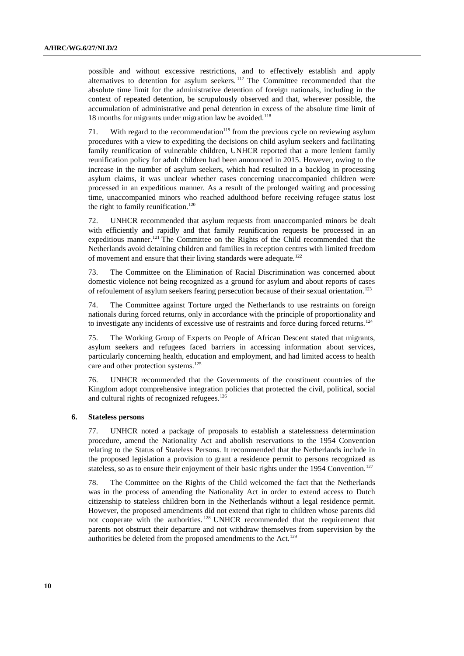possible and without excessive restrictions, and to effectively establish and apply alternatives to detention for asylum seekers.<sup>117</sup> The Committee recommended that the absolute time limit for the administrative detention of foreign nationals, including in the context of repeated detention, be scrupulously observed and that, wherever possible, the accumulation of administrative and penal detention in excess of the absolute time limit of 18 months for migrants under migration law be avoided.<sup>118</sup>

71. With regard to the recommendation<sup>119</sup> from the previous cycle on reviewing asylum procedures with a view to expediting the decisions on child asylum seekers and facilitating family reunification of vulnerable children, UNHCR reported that a more lenient family reunification policy for adult children had been announced in 2015. However, owing to the increase in the number of asylum seekers, which had resulted in a backlog in processing asylum claims, it was unclear whether cases concerning unaccompanied children were processed in an expeditious manner. As a result of the prolonged waiting and processing time, unaccompanied minors who reached adulthood before receiving refugee status lost the right to family reunification. $120$ 

72. UNHCR recommended that asylum requests from unaccompanied minors be dealt with efficiently and rapidly and that family reunification requests be processed in an expeditious manner.<sup>121</sup> The Committee on the Rights of the Child recommended that the Netherlands avoid detaining children and families in reception centres with limited freedom of movement and ensure that their living standards were adequate.<sup>122</sup>

73. The Committee on the Elimination of Racial Discrimination was concerned about domestic violence not being recognized as a ground for asylum and about reports of cases of refoulement of asylum seekers fearing persecution because of their sexual orientation.<sup>123</sup>

74. The Committee against Torture urged the Netherlands to use restraints on foreign nationals during forced returns, only in accordance with the principle of proportionality and to investigate any incidents of excessive use of restraints and force during forced returns.<sup>124</sup>

75. The Working Group of Experts on People of African Descent stated that migrants, asylum seekers and refugees faced barriers in accessing information about services, particularly concerning health, education and employment, and had limited access to health care and other protection systems.<sup>125</sup>

76. UNHCR recommended that the Governments of the constituent countries of the Kingdom adopt comprehensive integration policies that protected the civil, political, social and cultural rights of recognized refugees.<sup>126</sup>

#### **6. Stateless persons**

77. UNHCR noted a package of proposals to establish a statelessness determination procedure, amend the Nationality Act and abolish reservations to the 1954 Convention relating to the Status of Stateless Persons. It recommended that the Netherlands include in the proposed legislation a provision to grant a residence permit to persons recognized as stateless, so as to ensure their enjoyment of their basic rights under the 1954 Convention.<sup>127</sup>

78. The Committee on the Rights of the Child welcomed the fact that the Netherlands was in the process of amending the Nationality Act in order to extend access to Dutch citizenship to stateless children born in the Netherlands without a legal residence permit. However, the proposed amendments did not extend that right to children whose parents did not cooperate with the authorities. <sup>128</sup> UNHCR recommended that the requirement that parents not obstruct their departure and not withdraw themselves from supervision by the authorities be deleted from the proposed amendments to the Act.<sup>129</sup>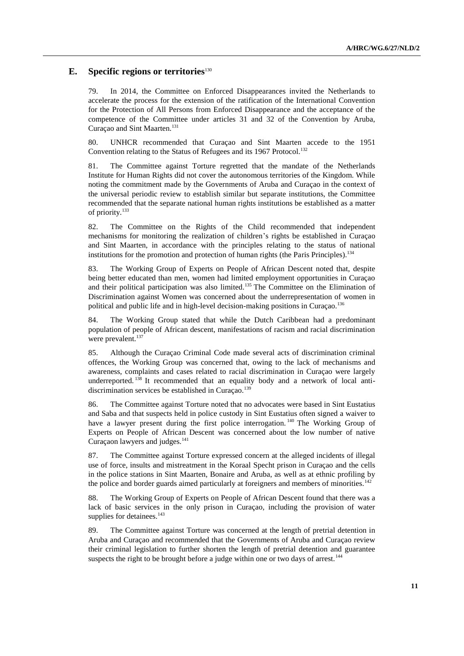### **E. Specific regions or territories**<sup>130</sup>

79. In 2014, the Committee on Enforced Disappearances invited the Netherlands to accelerate the process for the extension of the ratification of the International Convention for the Protection of All Persons from Enforced Disappearance and the acceptance of the competence of the Committee under articles 31 and 32 of the Convention by Aruba, Curaçao and Sint Maarten.<sup>131</sup>

80. UNHCR recommended that Curaçao and Sint Maarten accede to the 1951 Convention relating to the Status of Refugees and its 1967 Protocol.<sup>132</sup>

81. The Committee against Torture regretted that the mandate of the Netherlands Institute for Human Rights did not cover the autonomous territories of the Kingdom. While noting the commitment made by the Governments of Aruba and Curaçao in the context of the universal periodic review to establish similar but separate institutions, the Committee recommended that the separate national human rights institutions be established as a matter of priority.<sup>133</sup>

82. The Committee on the Rights of the Child recommended that independent mechanisms for monitoring the realization of children's rights be established in Curaçao and Sint Maarten, in accordance with the principles relating to the status of national institutions for the promotion and protection of human rights (the Paris Principles).<sup>134</sup>

83. The Working Group of Experts on People of African Descent noted that, despite being better educated than men, women had limited employment opportunities in Curaçao and their political participation was also limited.<sup>135</sup> The Committee on the Elimination of Discrimination against Women was concerned about the underrepresentation of women in political and public life and in high-level decision-making positions in Curaçao.<sup>136</sup>

84. The Working Group stated that while the Dutch Caribbean had a predominant population of people of African descent, manifestations of racism and racial discrimination were prevalent.<sup>137</sup>

85. Although the Curaçao Criminal Code made several acts of discrimination criminal offences, the Working Group was concerned that, owing to the lack of mechanisms and awareness, complaints and cases related to racial discrimination in Curaçao were largely underreported. <sup>138</sup> It recommended that an equality body and a network of local antidiscrimination services be established in Curaçao.<sup>139</sup>

86. The Committee against Torture noted that no advocates were based in Sint Eustatius and Saba and that suspects held in police custody in Sint Eustatius often signed a waiver to have a lawyer present during the first police interrogation.<sup>140</sup> The Working Group of Experts on People of African Descent was concerned about the low number of native Curaçaon lawyers and judges.<sup>141</sup>

87. The Committee against Torture expressed concern at the alleged incidents of illegal use of force, insults and mistreatment in the Koraal Specht prison in Curaçao and the cells in the police stations in Sint Maarten, Bonaire and Aruba, as well as at ethnic profiling by the police and border guards aimed particularly at foreigners and members of minorities.<sup>142</sup>

88. The Working Group of Experts on People of African Descent found that there was a lack of basic services in the only prison in Curaçao, including the provision of water supplies for detainees.<sup>143</sup>

89. The Committee against Torture was concerned at the length of pretrial detention in Aruba and Curaçao and recommended that the Governments of Aruba and Curaçao review their criminal legislation to further shorten the length of pretrial detention and guarantee suspects the right to be brought before a judge within one or two days of arrest.<sup>144</sup>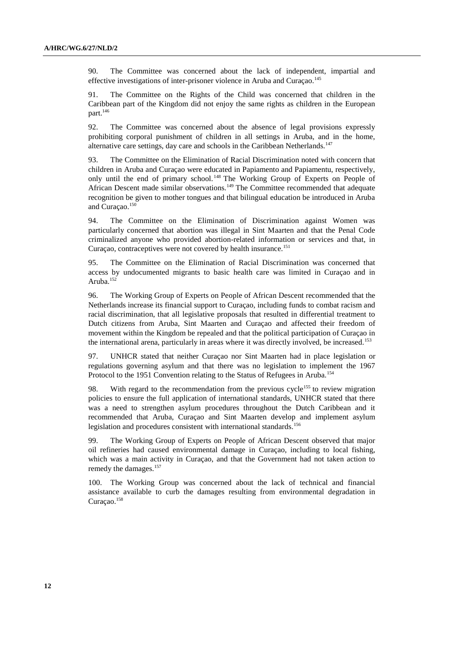90. The Committee was concerned about the lack of independent, impartial and effective investigations of inter-prisoner violence in Aruba and Curaçao.<sup>145</sup>

91. The Committee on the Rights of the Child was concerned that children in the Caribbean part of the Kingdom did not enjoy the same rights as children in the European part.<sup>146</sup>

92. The Committee was concerned about the absence of legal provisions expressly prohibiting corporal punishment of children in all settings in Aruba, and in the home, alternative care settings, day care and schools in the Caribbean Netherlands.<sup>147</sup>

93. The Committee on the Elimination of Racial Discrimination noted with concern that children in Aruba and Curaçao were educated in Papiamento and Papiamentu, respectively, only until the end of primary school. <sup>148</sup> The Working Group of Experts on People of African Descent made similar observations.<sup>149</sup> The Committee recommended that adequate recognition be given to mother tongues and that bilingual education be introduced in Aruba and Curaçao.<sup>150</sup>

94. The Committee on the Elimination of Discrimination against Women was particularly concerned that abortion was illegal in Sint Maarten and that the Penal Code criminalized anyone who provided abortion-related information or services and that, in Curaçao, contraceptives were not covered by health insurance.<sup>151</sup>

95. The Committee on the Elimination of Racial Discrimination was concerned that access by undocumented migrants to basic health care was limited in Curaçao and in Aruba.<sup>152</sup>

96. The Working Group of Experts on People of African Descent recommended that the Netherlands increase its financial support to Curaçao, including funds to combat racism and racial discrimination, that all legislative proposals that resulted in differential treatment to Dutch citizens from Aruba, Sint Maarten and Curaçao and affected their freedom of movement within the Kingdom be repealed and that the political participation of Curaçao in the international arena, particularly in areas where it was directly involved, be increased.<sup>153</sup>

97. UNHCR stated that neither Curaçao nor Sint Maarten had in place legislation or regulations governing asylum and that there was no legislation to implement the 1967 Protocol to the 1951 Convention relating to the Status of Refugees in Aruba.<sup>154</sup>

98. With regard to the recommendation from the previous cycle<sup>155</sup> to review migration policies to ensure the full application of international standards, UNHCR stated that there was a need to strengthen asylum procedures throughout the Dutch Caribbean and it recommended that Aruba, Curaçao and Sint Maarten develop and implement asylum legislation and procedures consistent with international standards.<sup>156</sup>

99. The Working Group of Experts on People of African Descent observed that major oil refineries had caused environmental damage in Curaçao, including to local fishing, which was a main activity in Curaçao, and that the Government had not taken action to remedy the damages.<sup>157</sup>

100. The Working Group was concerned about the lack of technical and financial assistance available to curb the damages resulting from environmental degradation in Curaçao.<sup>158</sup>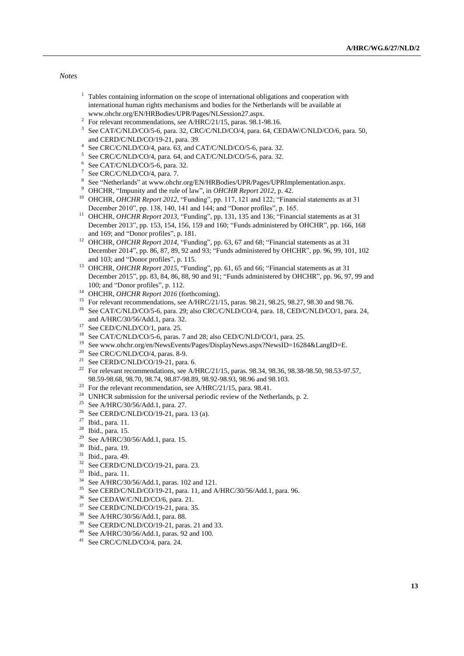*Notes*

- $<sup>1</sup>$  Tables containing information on the scope of international obligations and cooperation with</sup> international human rights mechanisms and bodies for the Netherlands will be available at www.ohchr.org/EN/HRBodies/UPR/Pages/NLSession27.aspx.
- <sup>2</sup> For relevant recommendations, see A/HRC/21/15, paras. 98.1-98.16.
- <sup>3</sup> See CAT/C/NLD/CO/5-6, para. 32, CRC/C/NLD/CO/4, para. 64, CEDAW/C/NLD/CO/6, para. 50, and CERD/C/NLD/CO/19-21, para. 39.
- <sup>4</sup> See CRC/C/NLD/CO/4, para. 63, and CAT/C/NLD/CO/5-6, para. 32.
- <sup>5</sup> See CRC/C/NLD/CO/4, para. 64, and CAT/C/NLD/CO/5-6, para. 32.
- $6$  See CAT/C/NLD/CO/5-6, para. 32.
- $7$  See CRC/C/NLD/CO/4, para. 7.
- 8 See "Netherlands" at www.ohchr.org/EN/HRBodies/UPR/Pages/UPRImplementation.aspx.
- <sup>9</sup> OHCHR, "Impunity and the rule of law", in *OHCHR Report 2012*, p. 42.
- <sup>10</sup> OHCHR, *OHCHR Report 2012*, "Funding", pp. 117, 121 and 122; "Financial statements as at 31 December 2010", pp. 138, 140, 141 and 144; and "Donor profiles", p. 165.
- <sup>11</sup> OHCHR, *OHCHR Report 2013*, "Funding", pp. 131, 135 and 136; "Financial statements as at 31 December 2013", pp. 153, 154, 156, 159 and 160; "Funds administered by OHCHR", pp. 166, 168 and 169; and "Donor profiles", p. 181.
- <sup>12</sup> OHCHR, *OHCHR Report 2014*, "Funding", pp. 63, 67 and 68; "Financial statements as at 31 December 2014", pp. 86, 87, 89, 92 and 93; "Funds administered by OHCHR", pp. 96, 99, 101, 102 and 103; and "Donor profiles", p. 115.
- <sup>13</sup> OHCHR, *OHCHR Report 2015*, "Funding", pp. 61, 65 and 66; "Financial statements as at 31 December 2015", pp. 83, 84, 86, 88, 90 and 91; "Funds administered by OHCHR", pp. 96, 97, 99 and 100; and "Donor profiles", p. 112.
- <sup>14</sup> OHCHR, *OHCHR Report 2016* (forthcoming).
- <sup>15</sup> For relevant recommendations, see A/HRC/21/15, paras. 98.21, 98.25, 98.27, 98.30 and 98.76.
- <sup>16</sup> See CAT/C/NLD/CO/5-6, para. 29; also CRC/C/NLD/CO/4, para. 18, CED/C/NLD/CO/1, para. 24, and A/HRC/30/56/Add.1, para. 32.
- $17$  See CED/C/NLD/CO/1, para. 25.
- <sup>18</sup> See CAT/C/NLD/CO/5-6, paras. 7 and 28; also CED/C/NLD/CO/1, para. 25.
- <sup>19</sup> See www.ohchr.org/en/NewsEvents/Pages/DisplayNews.aspx?NewsID=16284&LangID=E.
- $20$  See CRC/C/NLD/CO/4, paras. 8-9.
- <sup>21</sup> See CERD/C/NLD/CO/19-21, para. 6.
- <sup>22</sup> For relevant recommendations, see A/HRC/21/15, paras. 98.34, 98.36, 98.38-98.50, 98.53-97.57, 98.59-98.68, 98.70, 98.74, 98.87-98.89, 98.92-98.93, 98.96 and 98.103.
- <sup>23</sup> For the relevant recommendation, see A/HRC/21/15, para. 98.41.
- <sup>24</sup> UNHCR submission for the universal periodic review of the Netherlands, p. 2.
- <sup>25</sup> See A/HRC/30/56/Add.1, para. 27.
- <sup>26</sup> See CERD/C/NLD/CO/19-21, para. 13 (a).
- <sup>27</sup> Ibid., para. 11.
- <sup>28</sup> Ibid., para. 15.
- <sup>29</sup> See A/HRC/30/56/Add.1, para. 15.
- <sup>30</sup> Ibid., para. 19.
- <sup>31</sup> Ibid., para. 49.
- $32$  See CERD/C/NLD/CO/19-21, para. 23.
- $^{33}$  Ibid., para. 11.<br> $^{34}$  See A/HDC/20
- <sup>34</sup> See A/HRC/30/56/Add.1, paras. 102 and 121.<br><sup>35</sup> See CERD/C/NJ D/CO/10.21, para. 11, and A
- See CERD/C/NLD/CO/19-21, para. 11, and A/HRC/30/56/Add.1, para. 96.
- <sup>36</sup> See CEDAW/C/NLD/CO/6, para. 21.<br><sup>37</sup> See CERD/CAU D/CO/10.21, para. <sup>2</sup>
- See CERD/C/NLD/CO/19-21, para. 35.
- <sup>38</sup> See A/HRC/30/56/Add.1, para. 88.
- <sup>39</sup> See CERD/C/NLD/CO/19-21, paras. 21 and 33.
- <sup>40</sup> See A/HRC/30/56/Add.1, paras. 92 and 100.
- <sup>41</sup> See CRC/C/NLD/CO/4, para. 24.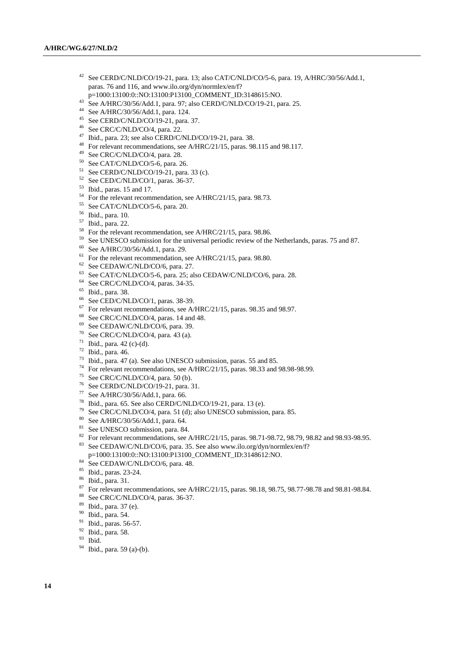- See CERD/C/NLD/CO/19-21, para. 13; also CAT/C/NLD/CO/5-6, para. 19, A/HRC/30/56/Add.1, paras. 76 and 116, and www.ilo.org/dyn/normlex/en/f?
- p=1000:13100:0::NO:13100:P13100\_COMMENT\_ID:3148615:NO.
- See A/HRC/30/56/Add.1, para. 97; also CERD/C/NLD/CO/19-21, para. 25.
- See A/HRC/30/56/Add.1, para. 124.
- See CERD/C/NLD/CO/19-21, para. 37.
- See CRC/C/NLD/CO/4, para. 22.
- Ibid., para. 23; see also CERD/C/NLD/CO/19-21, para. 38.
- <sup>48</sup> For relevant recommendations, see A/HRC/21/15, paras. 98.115 and 98.117.
- See CRC/C/NLD/CO/4, para. 28.
- See CAT/C/NLD/CO/5-6, para. 26.
- See CERD/C/NLD/CO/19-21, para. 33 (c).
- See CED/C/NLD/CO/1, paras. 36-37.
- Ibid., paras. 15 and 17.
- <sup>54</sup> For the relevant recommendation, see A/HRC/21/15, para. 98.73.<br><sup>55</sup> See CAT/C/NJ D/CO/5 6 name 20
- See CAT/C/NLD/CO/5-6, para. 20.
- Ibid., para. 10.
- Ibid., para. 22.
- For the relevant recommendation, see A/HRC/21/15, para. 98.86.
- <sup>59</sup> See UNESCO submission for the universal periodic review of the Netherlands, paras. 75 and 87.
- See A/HRC/30/56/Add.1, para. 29.
- <sup>61</sup> For the relevant recommendation, see A/HRC/21/15, para. 98.80.
- See CEDAW/C/NLD/CO/6, para. 27.
- See CAT/C/NLD/CO/5-6, para. 25; also CEDAW/C/NLD/CO/6, para. 28.
- See CRC/C/NLD/CO/4, paras. 34-35.
- Ibid., para. 38.
- <sup>66</sup> See CED/C/NLD/CO/1, paras. 38-39.
- For relevant recommendations, see A/HRC/21/15, paras. 98.35 and 98.97.
- See CRC/C/NLD/CO/4, paras. 14 and 48.
- See CEDAW/C/NLD/CO/6, para. 39.
- See CRC/C/NLD/CO/4, para. 43 (a).
- Ibid., para. 42 (c)-(d).
- Ibid., para. 46.
- Ibid., para. 47 (a). See also UNESCO submission, paras. 55 and 85.
- For relevant recommendations, see A/HRC/21/15, paras. 98.33 and 98.98-98.99.
- See CRC/C/NLD/CO/4, para. 50 (b).
- See CERD/C/NLD/CO/19-21, para. 31.
- See A/HRC/30/56/Add.1, para. 66.
- <sup>78</sup> Ibid., para. 65. See also CERD/C/NLD/CO/19-21, para. 13 (e).
- <sup>79</sup> See CRC/C/NLD/CO/4, para. 51 (d); also UNESCO submission, para. 85.<br><sup>80</sup> See A JIDC/201561A J J acres 64.
- See A/HRC/30/56/Add.1, para. 64.
- <sup>81</sup> See UNESCO submission, para. 84.
- 82 For relevant recommendations, see A/HRC/21/15, paras. 98.71-98.72, 98.79, 98.82 and 98.93-98.95. See CEDAW/C/NLD/CO/6, para. 35. See also www.ilo.org/dyn/normlex/en/f?
- p=1000:13100:0::NO:13100:P13100\_COMMENT\_ID:3148612:NO.
- See CEDAW/C/NLD/CO/6, para. 48.
- Ibid., paras. 23-24.
- Ibid., para. 31.
- <sup>87</sup> For relevant recommendations, see A/HRC/21/15, paras. 98.18, 98.75, 98.77-98.78 and 98.81-98.84.
- See CRC/C/NLD/CO/4, paras. 36-37.
- Ibid., para. 37 (e).
- Ibid., para. 54.
- Ibid., paras. 56-57.
- Ibid., para. 58.
- Ibid.
- Ibid., para. 59 (a)-(b).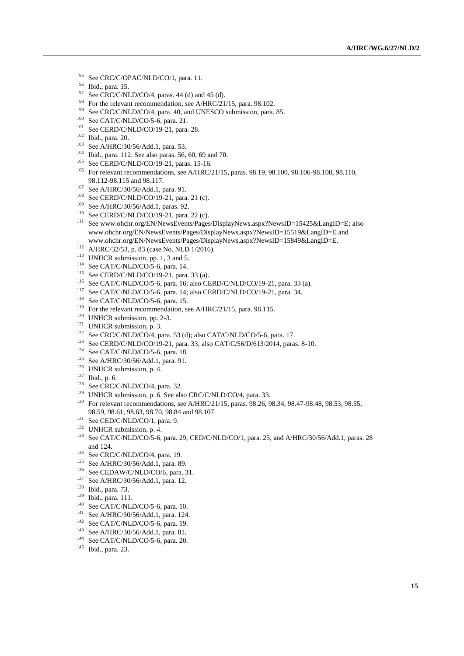- <sup>95</sup> See CRC/C/OPAC/NLD/CO/1, para. 11.
- Ibid., para. 15.
- See CRC/C/NLD/CO/4, paras. 44 (d) and 45 (d).
- <sup>98</sup> For the relevant recommendation, see A/HRC/21/15, para. 98.102.
- <sup>99</sup> See CRC/C/NLD/CO/4, para. 40, and UNESCO submission, para. 85.
- See CAT/C/NLD/CO/5-6, para. 21.
- <sup>101</sup> See CERD/C/NLD/CO/19-21, para. 28.
- Ibid., para. 20.
- See A/HRC/30/56/Add.1, para. 53.
- Ibid., para. 112. See also paras. 56, 60, 69 and 70.
- <sup>105</sup> See CERD/C/NLD/CO/19-21, paras. 15-16.
- For relevant recommendations, see A/HRC/21/15, paras. 98.19, 98.100, 98.106-98.108, 98.110, 98.112-98.115 and 98.117.
- See A/HRC/30/56/Add.1, para. 91.
- See CERD/C/NLD/CO/19-21, para. 21 (c).
- See A/HRC/30/56/Add.1, paras. 92.
- See CERD/C/NLD/CO/19-21, para. 22 (c).
- <sup>111</sup> See www.ohchr.org/EN/NewsEvents/Pages/DisplayNews.aspx?NewsID=15425&LangID=E; also www.ohchr.org/EN/NewsEvents/Pages/DisplayNews.aspx?NewsID=15519&LangID=E and www.ohchr.org/EN/NewsEvents/Pages/DisplayNews.aspx?NewsID=15849&LangID=E.
- A/HRC/32/53, p. 83 (case No. NLD 1/2016).
- <sup>113</sup> UNHCR submission, pp. 1, 3 and 5.
- See CAT/C/NLD/CO/5-6, para. 14.
- See CERD/C/NLD/CO/19-21, para. 33 (a).
- See CAT/C/NLD/CO/5-6, para. 16; also CERD/C/NLD/CO/19-21, para. 33 (a).
- See CAT/C/NLD/CO/5-6, para. 14; also CERD/C/NLD/CO/19-21, para. 34.
- <sup>118</sup> See CAT/C/NLD/CO/5-6, para. 15.
- <sup>119</sup> For the relevant recommendation, see A/HRC/21/15, para. 98.115.
- <sup>120</sup> UNHCR submission, pp. 2-3.
- <sup>121</sup> UNHCR submission, p. 3.
- See CRC/C/NLD/CO/4, para. 53 (d); also CAT/C/NLD/CO/5-6, para. 17.
- See CERD/C/NLD/CO/19-21, para. 33; also CAT/C/56/D/613/2014, paras. 8-10.
- See CAT/C/NLD/CO/5-6, para. 18.
- See A/HRC/30/56/Add.1, para. 91.
- <sup>126</sup> UNHCR submission, p. 4.
- Ibid., p. 6.
- See CRC/C/NLD/CO/4, para. 32.
- <sup>129</sup> UNHCR submission, p. 6. See also CRC/C/NLD/CO/4, para. 33.
- <sup>130</sup> For relevant recommendations, see A/HRC/21/15, paras. 98.26, 98.34, 98.47-98.48, 98.53, 98.55, 98.59, 98.61, 98.63, 98.70, 98.84 and 98.107.
- <sup>131</sup> See CED/C/NLD/CO/1, para. 9.
- UNHCR submission, p. 4.
- See CAT/C/NLD/CO/5-6, para. 29, CED/C/NLD/CO/1, para. 25, and A/HRC/30/56/Add.1, paras. 28 and 124.
- See CRC/C/NLD/CO/4, para. 19.
- See A/HRC/30/56/Add.1, para. 89.
- <sup>136</sup> See CEDAW/C/NLD/CO/6, para. 31.
- See A/HRC/30/56/Add.1, para. 12.
- Ibid., para. 73.
- Ibid., para. 111.
- See CAT/C/NLD/CO/5-6, para. 10.
- See A/HRC/30/56/Add.1, para. 124.
- See CAT/C/NLD/CO/5-6, para. 19.
- See A/HRC/30/56/Add.1, para. 81.
- See CAT/C/NLD/CO/5-6, para. 20.
- Ibid., para. 23.